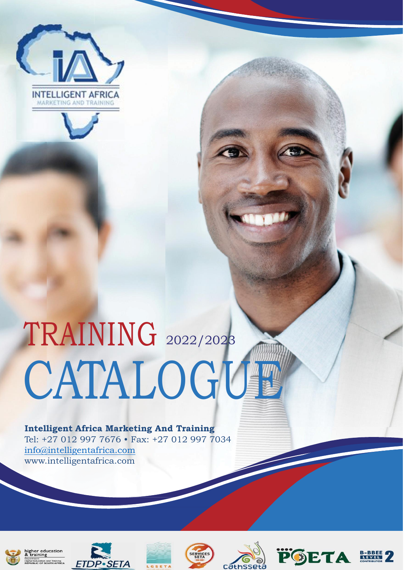



# TRAINING 2022/2023 **CATALOGUE**

 **Intelligent Africa Marketing And Training** Tel: +27 012 997 7676 • Fax: +27 012 997 7034 [info@intelligentafrica.com](mailto:info@intelligentafrica.com) [www.](http://www.intelligentafrica.com/)intelligentafrica.com



ing











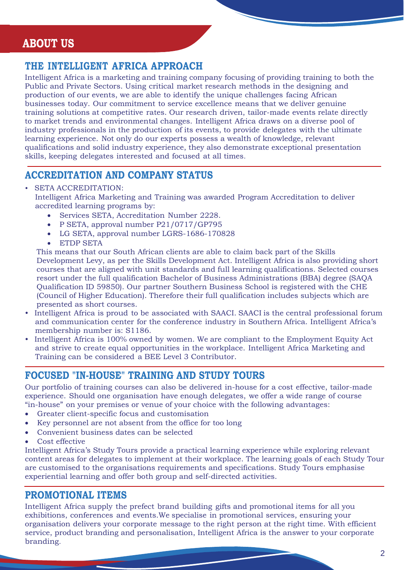## **ABOUT US**

## **THE INTELLIGENT AFRICA APPROACH**

Intelligent Africa is a marketing and training company focusing of providing training to both the Public and Private Sectors. Using critical market research methods in the designing and production of our events, we are able to identify the unique challenges facing African businesses today. Our commitment to service excellence means that we deliver genuine training solutions at competitive rates. Our research driven, tailor-made events relate directly to market trends and environmental changes. Intelligent Africa draws on a diverse pool of industry professionals in the production of its events, to provide delegates with the ultimate learning experience. Not only do our experts possess a wealth of knowledge, relevant qualifications and solid industry experience, they also demonstrate exceptional presentation skills, keeping delegates interested and focused at all times.

## **ACCREDITATION AND COMPANY STATUS**

#### • SETA ACCREDITATION:

Intelligent Africa Marketing and Training was awarded Program Accreditation to deliver accredited learning programs by:

- Services SETA, Accreditation Number 2228.
- P SETA, approval number P21/0717/GP795
- LG SETA, approval number LGRS-1686-170828
- ETDP SETA

This means that our South African clients are able to claim back part of the Skills Development Levy, as per the Skills Development Act. Intelligent Africa is also providing short courses that are aligned with unit standards and full learning qualifications. Selected courses resort under the full qualification Bachelor of Business Administrations (BBA) degree (SAQA Qualification ID 59850). Our partner Southern Business School is registered with the CHE (Council of Higher Education). Therefore their full qualification includes subjects which are presented as short courses.

- Intelligent Africa is proud to be associated with SAACI. SAACI is the central professional forum and communication center for the conference industry in Southern Africa. Intelligent Africa's membership number is: S1186.
- Intelligent Africa is 100% owned by women. We are compliant to the Employment Equity Act and strive to create equal opportunities in the workplace. Intelligent Africa Marketing and Training can be considered a BEE Level 3 Contributor.

## **FOCUSED "IN-HOUSE" TRAINING AND STUDY TOURS**

Our portfolio of training courses can also be delivered in-house for a cost effective, tailor-made experience. Should one organisation have enough delegates, we offer a wide range of course "in-house" on your premises or venue of your choice with the following advantages:

- Greater client-specific focus and customisation
- Key personnel are not absent from the office for too long
- Convenient business dates can be selected
- Cost effective

Intelligent Africa's Study Tours provide a practical learning experience while exploring relevant content areas for delegates to implement at their workplace. The learning goals of each Study Tour are customised to the organisations requirements and specifications. Study Tours emphasise experiential learning and offer both group and self-directed activities.

## **PROMOTIONAL ITEMS**

Intelligent Africa supply the prefect brand building gifts and promotional items for all you exhibitions, conferences and events.We specialise in promotional services, ensuring your organisation delivers your corporate message to the right person at the right time. With efficient service, product branding and personalisation, Intelligent Africa is the answer to your corporate branding.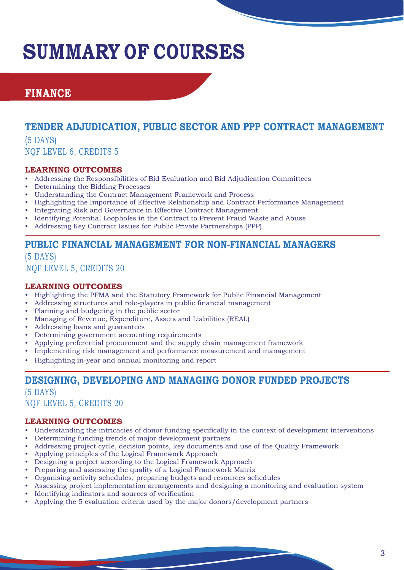## **SUMMARY OF COURSES**

## **FINANCE**

## **TENDER ADJUDICATION, PUBLIC SECTOR AND PPP CONTRACT MANAGEMENT**  (5 DAYS)

NQF LEVEL 6, CREDITS 5

#### **LEARNING OUTCOMES**

- Addressing the Responsibilities of Bid Evaluation and Bid Adjudication Committees
- Determining the Bidding Processes
- Understanding the Contract Management Framework and Process
- Highlighting the Importance of Effective Relationship and Contract Performance Management
- Integrating Risk and Governance in Effective Contract Management
- Identifying Potential Loopholes in the Contract to Prevent Fraud Waste and Abuse
- Addressing Key Contract Issues for Public Private Partnerships (PPP)

## **PUBLIC FINANCIAL MANAGEMENT FOR NON-FINANCIAL MANAGERS**

(5 DAYS) NQF LEVEL 5, CREDITS 20

#### **LEARNING OUTCOMES**

- Highlighting the PFMA and the Statutory Framework for Public Financial Management
- Addressing structures and role-players in public financial management
- Planning and budgeting in the public sector
- Managing of Revenue, Expenditure, Assets and Liabilities (REAL)
- Addressing loans and guarantees
- Determining government accounting requirements
- Applying preferential procurement and the supply chain management framework
- Implementing risk management and performance measurement and management
- Highlighting in-year and annual monitoring and report

## **DESIGNING, DEVELOPING AND MANAGING DONOR FUNDED PROJECTS**

(5 DAYS) NQF LEVEL 5, CREDITS 20

- Understanding the intricacies of donor funding specifically in the context of development interventions
- Determining funding trends of major development partners
- Addressing project cycle, decision points, key documents and use of the Quality Framework
- Applying principles of the Logical Framework Approach
- Designing a project according to the Logical Framework Approach
- Preparing and assessing the quality of a Logical Framework Matrix
- Organising activity schedules, preparing budgets and resources schedules
- Assessing project implementation arrangements and designing a monitoring and evaluation system
- Identifying indicators and sources of verification
- Applying the 5 evaluation criteria used by the major donors/development partners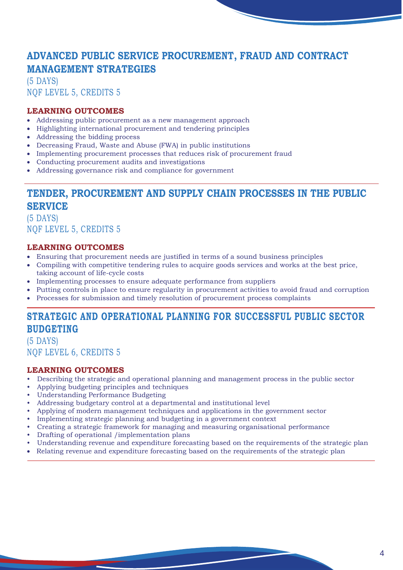## **ADVANCED PUBLIC SERVICE PROCUREMENT, FRAUD AND CONTRACT MANAGEMENT STRATEGIES**

(5 DAYS) NQF LEVEL 5, CREDITS 5

#### **LEARNING OUTCOMES**

- Addressing public procurement as a new management approach
- Highlighting international procurement and tendering principles
- Addressing the bidding process
- Decreasing Fraud, Waste and Abuse (FWA) in public institutions
- Implementing procurement processes that reduces risk of procurement fraud
- Conducting procurement audits and investigations
- Addressing governance risk and compliance for government

## **TENDER, PROCUREMENT AND SUPPLY CHAIN PROCESSES IN THE PUBLIC SERVICE**

(5 DAYS) NQF LEVEL 5, CREDITS 5

#### **LEARNING OUTCOMES**

- Ensuring that procurement needs are justified in terms of a sound business principles
- Compiling with competitive tendering rules to acquire goods services and works at the best price, taking account of life-cycle costs
- Implementing processes to ensure adequate performance from suppliers
- Putting controls in place to ensure regularity in procurement activities to avoid fraud and corruption
- Processes for submission and timely resolution of procurement process complaints

## **STRATEGIC AND OPERATIONAL PLANNING FOR SUCCESSFUL PUBLIC SECTOR BUDGETING**

(5 DAYS) NQF LEVEL 6, CREDITS 5

- Describing the strategic and operational planning and management process in the public sector
- Applying budgeting principles and techniques
- Understanding Performance Budgeting
- Addressing budgetary control at a departmental and institutional level
- Applying of modern management techniques and applications in the government sector
- Implementing strategic planning and budgeting in a government context
- Creating a strategic framework for managing and measuring organisational performance
- Drafting of operational /implementation plans
- Understanding revenue and expenditure forecasting based on the requirements of the strategic plan
- Relating revenue and expenditure forecasting based on the requirements of the strategic plan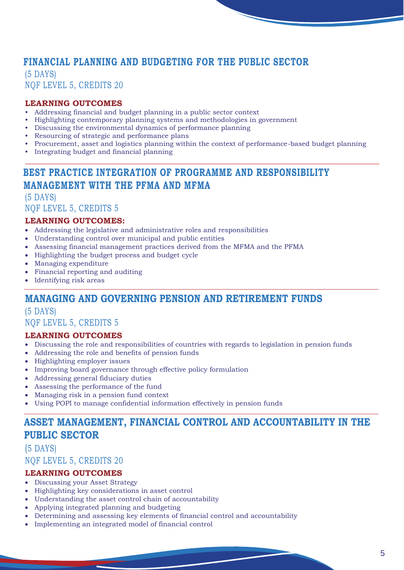## **FINANCIAL PLANNING AND BUDGETING FOR THE PUBLIC SECTOR**

(5 DAYS) NQF LEVEL 5, CREDITS 20

#### **LEARNING OUTCOMES**

- Addressing financial and budget planning in a public sector context
- Highlighting contemporary planning systems and methodologies in government
- Discussing the environmental dynamics of performance planning
- Resourcing of strategic and performance plans
- Procurement, asset and logistics planning within the context of performance-based budget planning
- Integrating budget and financial planning

## **BEST PRACTICE INTEGRATION OF PROGRAMME AND RESPONSIBILITY MANAGEMENT WITH THE PFMA AND MFMA**

(5 DAYS) NQF LEVEL 5, CREDITS 5

#### **LEARNING OUTCOMES:**

- Addressing the legislative and administrative roles and responsibilities
- Understanding control over municipal and public entities
- Assessing financial management practices derived from the MFMA and the PFMA
- Highlighting the budget process and budget cycle
- Managing expenditure
- Financial reporting and auditing
- Identifying risk areas

## **MANAGING AND GOVERNING PENSION AND RETIREMENT FUNDS**

#### (5 DAYS) NQF LEVEL 5, CREDITS 5

#### **LEARNING OUTCOMES**

- Discussing the role and responsibilities of countries with regards to legislation in pension funds
- Addressing the role and benefits of pension funds
- Highlighting employer issues
- Improving board governance through effective policy formulation
- Addressing general fiduciary duties
- Assessing the performance of the fund
- Managing risk in a pension fund context
- Using POPI to manage confidential information effectively in pension funds

## **ASSET MANAGEMENT, FINANCIAL CONTROL AND ACCOUNTABILITY IN THE PUBLIC SECTOR**

## (5 DAYS) NQF LEVEL 5, CREDITS 20

- Discussing your Asset Strategy
- Highlighting key considerations in asset control
- Understanding the asset control chain of accountability
- Applying integrated planning and budgeting
- Determining and assessing key elements of financial control and accountability
- Implementing an integrated model of financial control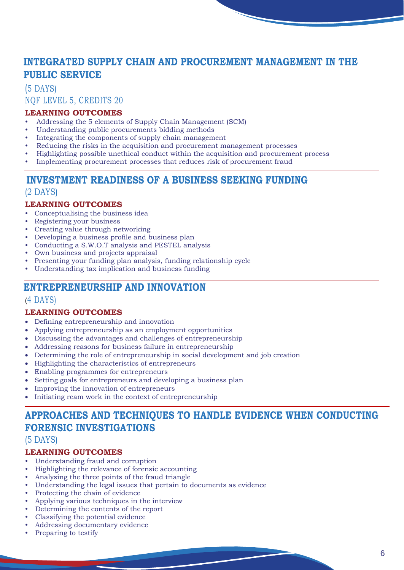## **INTEGRATED SUPPLY CHAIN AND PROCUREMENT MANAGEMENT IN THE PUBLIC SERVICE**

## (5 DAYS) NQF LEVEL 5, CREDITS 20

#### **LEARNING OUTCOMES**

- Addressing the 5 elements of Supply Chain Management (SCM)
- Understanding public procurements bidding methods
- Integrating the components of supply chain management
- Reducing the risks in the acquisition and procurement management processes
- Highlighting possible unethical conduct within the acquisition and procurement process
- Implementing procurement processes that reduces risk of procurement fraud

## **INVESTMENT READINESS OF A BUSINESS SEEKING FUNDING**  (2 DAYS)

#### **LEARNING OUTCOMES**

- Conceptualising the business idea
- Registering your business
- Creating value through networking
- Developing a business profile and business plan
- Conducting a S.W.O.T analysis and PESTEL analysis
- Own business and projects appraisal
- Presenting your funding plan analysis, funding relationship cycle
- Understanding tax implication and business funding

## **ENTREPRENEURSHIP AND INNOVATION**

#### (4 DAYS)

#### **LEARNING OUTCOMES**

- Defining entrepreneurship and innovation
- Applying entrepreneurship as an employment opportunities
- Discussing the advantages and challenges of entrepreneurship
- Addressing reasons for business failure in entrepreneurship
- Determining the role of entrepreneurship in social development and job creation
- Highlighting the characteristics of entrepreneurs
- Enabling programmes for entrepreneurs
- Setting goals for entrepreneurs and developing a business plan
- Improving the innovation of entrepreneurs
- Initiating ream work in the context of entrepreneurship

## **APPROACHES AND TECHNIQUES TO HANDLE EVIDENCE WHEN CONDUCTING FORENSIC INVESTIGATIONS**

#### (5 DAYS)

- Understanding fraud and corruption
- Highlighting the relevance of forensic accounting
- Analysing the three points of the fraud triangle
- Understanding the legal issues that pertain to documents as evidence
- Protecting the chain of evidence
- Applying various techniques in the interview
- Determining the contents of the report
- Classifying the potential evidence
- Addressing documentary evidence
- Preparing to testify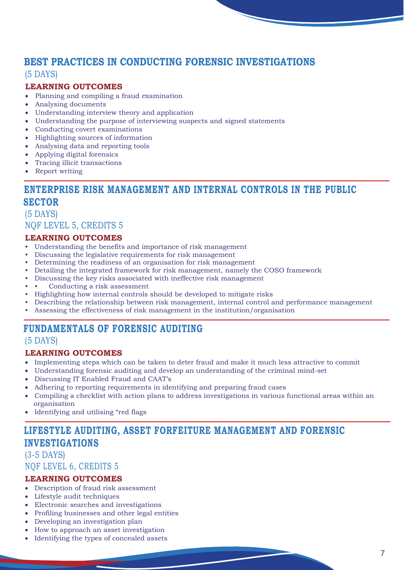## **BEST PRACTICES IN CONDUCTING FORENSIC INVESTIGATIONS**

#### (5 DAYS)

#### **LEARNING OUTCOMES**

- Planning and compiling a fraud examination
- Analysing documents
- Understanding interview theory and application
- Understanding the purpose of interviewing suspects and signed statements
- Conducting covert examinations
- Highlighting sources of information
- Analysing data and reporting tools
- Applying digital forensics
- Tracing illicit transactions
- Report writing

## **ENTERPRISE RISK MANAGEMENT AND INTERNAL CONTROLS IN THE PUBLIC SECTOR**

(5 DAYS) NQF LEVEL 5, CREDITS 5

#### **LEARNING OUTCOMES**

- Understanding the benefits and importance of risk management
- Discussing the legislative requirements for risk management
- Determining the readiness of an organisation for risk management
- Detailing the integrated framework for risk management, namely the COSO framework
- Discussing the key risks associated with ineffective risk management
- Conducting a risk assessment
- Highlighting how internal controls should be developed to mitigate risks
- Describing the relationship between risk management, internal control and performance management
- Assessing the effectiveness of risk management in the institution/organisation

## **FUNDAMENTALS OF FORENSIC AUDITING**

#### (5 DAYS)

#### **LEARNING OUTCOMES**

- Implementing steps which can be taken to deter fraud and make it much less attractive to commit
- Understanding forensic auditing and develop an understanding of the criminal mind-set
- Discussing IT Enabled Fraud and CAAT's
- Adhering to reporting requirements in identifying and preparing fraud cases
- Compiling a checklist with action plans to address investigations in various functional areas within an organisation
- Identifying and utilising "red flags

## **LIFESTYLE AUDITING, ASSET FORFEITURE MANAGEMENT AND FORENSIC INVESTIGATIONS**

(3-5 DAYS) NQF LEVEL 6, CREDITS 5

- Description of fraud risk assessment
- Lifestyle audit techniques
- Electronic searches and investigations
- Profiling businesses and other legal entities
- Developing an investigation plan
- How to approach an asset investigation
- Identifying the types of concealed assets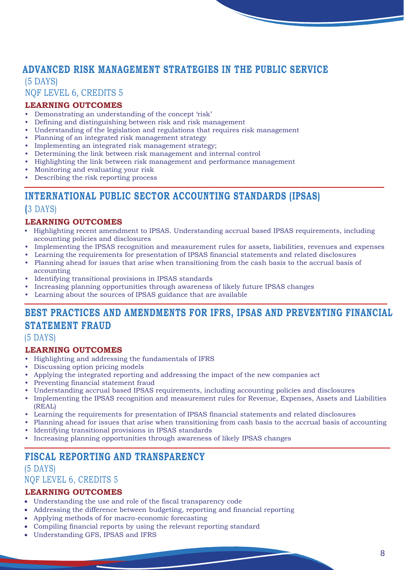## **ADVANCED RISK MANAGEMENT STRATEGIES IN THE PUBLIC SERVICE**

(5 DAYS) NQF LEVEL 6, CREDITS 5

#### **LEARNING OUTCOMES**

- Demonstrating an understanding of the concept 'risk'
- Defining and distinguishing between risk and risk management
- Understanding of the legislation and regulations that requires risk management
- Planning of an integrated risk management strategy
- Implementing an integrated risk management strategy;
- Determining the link between risk management and internal control
- Highlighting the link between risk management and performance management
- Monitoring and evaluating your risk
- Describing the risk reporting process

## **INTERNATIONAL PUBLIC SECTOR ACCOUNTING STANDARDS (IPSAS)**

#### **(**3 DAYS)

#### **LEARNING OUTCOMES**

- Highlighting recent amendment to IPSAS. Understanding accrual based IPSAS requirements, including accounting policies and disclosures
- Implementing the IPSAS recognition and measurement rules for assets, liabilities, revenues and expenses
- Learning the requirements for presentation of IPSAS financial statements and related disclosures
- Planning ahead for issues that arise when transitioning from the cash basis to the accrual basis of accounting
- Identifying transitional provisions in IPSAS standards
- Increasing planning opportunities through awareness of likely future IPSAS changes
- Learning about the sources of IPSAS guidance that are available

## **BEST PRACTICES AND AMENDMENTS FOR IFRS, IPSAS AND PREVENTING FINANCIAL STATEMENT FRAUD**

#### (5 DAYS)

#### **LEARNING OUTCOMES**

- Highlighting and addressing the fundamentals of IFRS
- Discussing option pricing models
- Applying the integrated reporting and addressing the impact of the new companies act
- Preventing financial statement fraud
- Understanding accrual based IPSAS requirements, including accounting policies and disclosures
- Implementing the IPSAS recognition and measurement rules for Revenue, Expenses, Assets and Liabilities (REAL)
- Learning the requirements for presentation of IPSAS financial statements and related disclosures
- Planning ahead for issues that arise when transitioning from cash basis to the accrual basis of accounting Identifying transitional provisions in IPSAS standards
- Increasing planning opportunities through awareness of likely IPSAS changes

## **FISCAL REPORTING AND TRANSPARENCY**

## (5 DAYS) NQF LEVEL 6, CREDITS 5

- Understanding the use and role of the fiscal transparency code
- Addressing the difference between budgeting, reporting and financial reporting
- Applying methods of for macro-economic forecasting
- Compiling financial reports by using the relevant reporting standard
- Understanding GFS, IPSAS and IFRS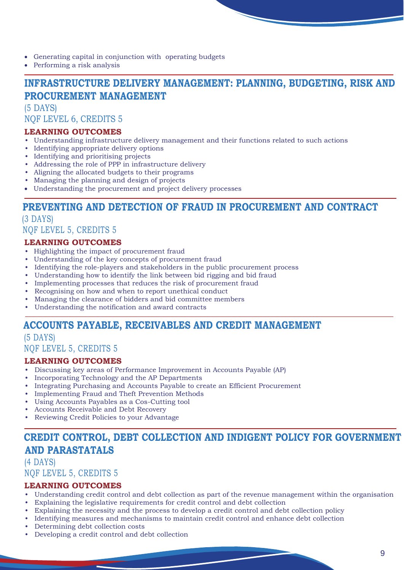• Generating capital in conjunction with operating budgets

• Performing a risk analysis

## **INFRASTRUCTURE DELIVERY MANAGEMENT: PLANNING, BUDGETING, RISK AND PROCUREMENT MANAGEMENT**

(5 DAYS) NQF LEVEL 6, CREDITS 5

#### **LEARNING OUTCOMES**

- Understanding infrastructure delivery management and their functions related to such actions
- Identifying appropriate delivery options
- Identifying and prioritising projects
- Addressing the role of PPP in infrastructure delivery
- Aligning the allocated budgets to their programs
- Managing the planning and design of projects
- Understanding the procurement and project delivery processes

## **PREVENTING AND DETECTION OF FRAUD IN PROCUREMENT AND CONTRACT**  (3 DAYS)

## NQF LEVEL 5, CREDITS 5

#### **LEARNING OUTCOMES**

- Highlighting the impact of procurement fraud
- Understanding of the key concepts of procurement fraud
- Identifying the role-players and stakeholders in the public procurement process
- Understanding how to identify the link between bid rigging and bid fraud
- Implementing processes that reduces the risk of procurement fraud
- Recognising on how and when to report unethical conduct
- Managing the clearance of bidders and bid committee members
- Understanding the notification and award contracts

## **ACCOUNTS PAYABLE, RECEIVABLES AND CREDIT MANAGEMENT**

(5 DAYS)

NQF LEVEL 5, CREDITS 5

#### **LEARNING OUTCOMES**

- Discussing key areas of Performance Improvement in Accounts Payable (AP)
- Incorporating Technology and the AP Departments
- Integrating Purchasing and Accounts Payable to create an Efficient Procurement
- Implementing Fraud and Theft Prevention Methods
- Using Accounts Payables as a Cos-Cutting tool
- Accounts Receivable and Debt Recovery
- Reviewing Credit Policies to your Advantage

## **CREDIT CONTROL, DEBT COLLECTION AND INDIGENT POLICY FOR GOVERNMENT AND PARASTATALS**

## (4 DAYS) NQF LEVEL 5, CREDITS 5

- Understanding credit control and debt collection as part of the revenue management within the organisation
- Explaining the legislative requirements for credit control and debt collection
- Explaining the necessity and the process to develop a credit control and debt collection policy
- Identifying measures and mechanisms to maintain credit control and enhance debt collection
- Determining debt collection costs
- Developing a credit control and debt collection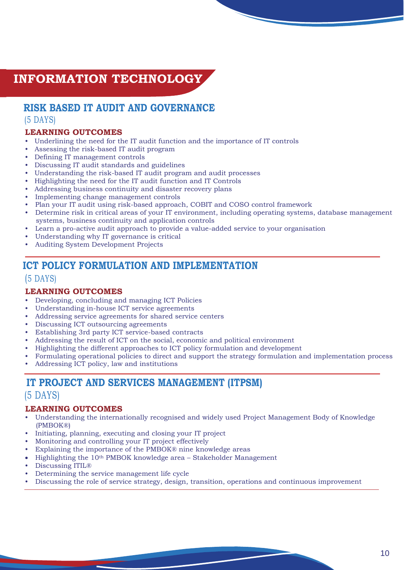## **INFORMATION TECHNOLOGY**

## **RISK BASED IT AUDIT AND GOVERNANCE**  (5 DAYS)

#### **LEARNING OUTCOMES**

- Underlining the need for the IT audit function and the importance of IT controls
- Assessing the risk-based IT audit program
- Defining IT management controls
- Discussing IT audit standards and guidelines
- Understanding the risk-based IT audit program and audit processes
- Highlighting the need for the IT audit function and IT Controls
- Addressing business continuity and disaster recovery plans
- Implementing change management controls
- Plan your IT audit using risk-based approach, COBIT and COSO control framework
- Determine risk in critical areas of your IT environment, including operating systems, database management systems, business continuity and application controls
- Learn a pro-active audit approach to provide a value-added service to your organisation
- Understanding why IT governance is critical
- Auditing System Development Projects

## **ICT POLICY FORMULATION AND IMPLEMENTATION**

## (5 DAYS)

#### **LEARNING OUTCOMES**

- Developing, concluding and managing ICT Policies
- Understanding in-house ICT service agreements
- Addressing service agreements for shared service centers
- Discussing ICT outsourcing agreements
- Establishing 3rd party ICT service-based contracts
- Addressing the result of ICT on the social, economic and political environment
- Highlighting the different approaches to ICT policy formulation and development
- Formulating operational policies to direct and support the strategy formulation and implementation process
- Addressing ICT policy, law and institutions

## **IT PROJECT AND SERVICES MANAGEMENT (ITPSM)**

#### (5 DAYS)

- Understanding the internationally recognised and widely used Project Management Body of Knowledge (PMBOK®)
- Initiating, planning, executing and closing your IT project
- Monitoring and controlling your IT project effectively
- Explaining the importance of the PMBOK® nine knowledge areas
- Highlighting the 10th PMBOK knowledge area Stakeholder Management
- Discussing ITIL<sup>®</sup>
- Determining the service management life cycle
- Discussing the role of service strategy, design, transition, operations and continuous improvement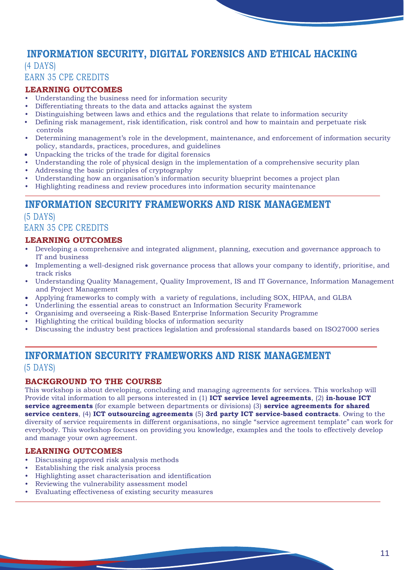## **INFORMATION SECURITY, DIGITAL FORENSICS AND ETHICAL HACKING**

#### (4 DAYS) EARN 35 CPE CREDITS

#### **LEARNING OUTCOMES**

- Understanding the business need for information security
- Differentiating threats to the data and attacks against the system
- Distinguishing between laws and ethics and the regulations that relate to information security
- Defining risk management, risk identification, risk control and how to maintain and perpetuate risk controls
- Determining management's role in the development, maintenance, and enforcement of information security policy, standards, practices, procedures, and guidelines
- Unpacking the tricks of the trade for digital forensics
- Understanding the role of physical design in the implementation of a comprehensive security plan
- Addressing the basic principles of cryptography
- Understanding how an organisation's information security blueprint becomes a project plan
- Highlighting readiness and review procedures into information security maintenance

## **INFORMATION SECURITY FRAMEWORKS AND RISK MANAGEMENT**

## (5 DAYS) EARN 35 CPE CREDITS

#### **LEARNING OUTCOMES**

- Developing a comprehensive and integrated alignment, planning, execution and governance approach to IT and business
- Implementing a well-designed risk governance process that allows your company to identify, prioritise, and track risks
- Understanding Quality Management, Quality Improvement, IS and IT Governance, Information Management and Project Management
- Applying frameworks to comply with a variety of regulations, including SOX, HIPAA, and GLBA
- Underlining the essential areas to construct an Information Security Framework
- Organisimg and overseeing a Risk-Based Enterprise Information Security Programme
- Highlighting the critical building blocks of information security
- Discussing the industry best practices legislation and professional standards based on ISO27000 series

## **INFORMATION SECURITY FRAMEWORKS AND RISK MANAGEMENT**  (5 DAYS)

#### **BACKGROUND TO THE COURSE**

This workshop is about developing, concluding and managing agreements for services. This workshop will Provide vital information to all persons interested in (1) **ICT service level agreements**, (2) **in-house ICT service agreements** (for example between departments or divisions) (3) **service agreements for shared service centers**, (4) **ICT outsourcing agreements** (5) **3rd party ICT service-based contracts**. Owing to the diversity of service requirements in different organisations, no single "service agreement template" can work for everybody. This workshop focuses on providing you knowledge, examples and the tools to effectively develop and manage your own agreement.

- Discussing approved risk analysis methods
- Establishing the risk analysis process
- Highlighting asset characterisation and identification
- Reviewing the vulnerability assessment model
- Evaluating effectiveness of existing security measures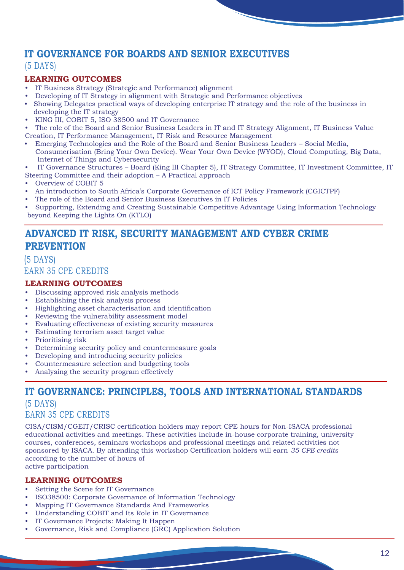## **IT GOVERNANCE FOR BOARDS AND SENIOR EXECUTIVES**

#### (5 DAYS)

#### **LEARNING OUTCOMES**

- IT Business Strategy (Strategic and Performance) alignment
- Developing of IT Strategy in alignment with Strategic and Performance objectives
- Showing Delegates practical ways of developing enterprise IT strategy and the role of the business in developing the IT strategy
- KING III, COBIT 5, ISO 38500 and IT Governance
- The role of the Board and Senior Business Leaders in IT and IT Strategy Alignment, IT Business Value Creation, IT Performance Management, IT Risk and Resource Management
- Emerging Technologies and the Role of the Board and Senior Business Leaders Social Media, Consumerisation (Bring Your Own Device). Wear Your Own Device (WYOD), Cloud Computing, Big Data, Internet of Things and Cybersecurity
- IT Governance Structures Board (King III Chapter 5), IT Strategy Committee, IT Investment Committee, IT
- Steering Committee and their adoption A Practical approach
- Overview of COBIT 5
- An introduction to South Africa's Corporate Governance of ICT Policy Framework (CGICTPF)
- The role of the Board and Senior Business Executives in IT Policies
- Supporting, Extending and Creating Sustainable Competitive Advantage Using Information Technology beyond Keeping the Lights On (KTLO)

## **ADVANCED IT RISK, SECURITY MANAGEMENT AND CYBER CRIME PREVENTION**

## (5 DAYS) EARN 35 CPE CREDITS

#### **LEARNING OUTCOMES**

- Discussing approved risk analysis methods
- Establishing the risk analysis process
- Highlighting asset characterisation and identification
- Reviewing the vulnerability assessment model
- Evaluating effectiveness of existing security measures
- Estimating terrorism asset target value
- Prioritising risk
- Determining security policy and countermeasure goals
- Developing and introducing security policies
- Countermeasure selection and budgeting tools
- Analysing the security program effectively

## **IT GOVERNANCE: PRINCIPLES, TOOLS AND INTERNATIONAL STANDARDS**

(5 DAYS) EARN 35 CPE CREDITS

CISA/CISM/CGEIT/CRISC certification holders may report CPE hours for Non-ISACA professional educational activities and meetings. These activities include in-house corporate training, university courses, conferences, seminars workshops and professional meetings and related activities not sponsored by ISACA. By attending this workshop Certification holders will earn *35 CPE credits* according to the number of hours of active participation

- Setting the Scene for IT Governance
- ISO38500: Corporate Governance of Information Technology
- Mapping IT Governance Standards And Frameworks
- Understanding COBIT and Its Role in IT Governance
- IT Governance Projects: Making It Happen
- Governance, Risk and Compliance (GRC) Application Solution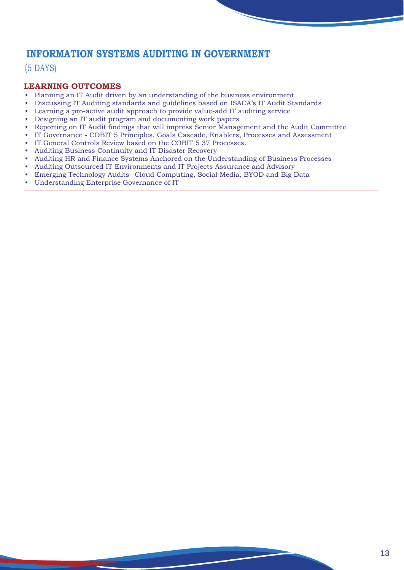## **INFORMATION SYSTEMS AUDITING IN GOVERNMENT**

## (5 DAYS)

- Planning an IT Audit driven by an understanding of the business environment
- Discussing IT Auditing standards and guidelines based on ISACA's IT Audit Standards
- Learning a pro-active audit approach to provide value-add IT auditing service
- Designing an IT audit program and documenting work papers
- Reporting on IT Audit findings that will impress Senior Management and the Audit Committee
- IT Governance COBIT 5 Principles, Goals Cascade, Enablers, Processes and Assessment
- IT General Controls Review based on the COBIT 5 37 Processes.
- Auditing Business Continuity and IT Disaster Recovery
- Auditing HR and Finance Systems Anchored on the Understanding of Business Processes
- Auditing Outsourced IT Environments and IT Projects Assurance and Advisory
- Emerging Technology Audits– Cloud Computing, Social Media, BYOD and Big Data
- Understanding Enterprise Governance of IT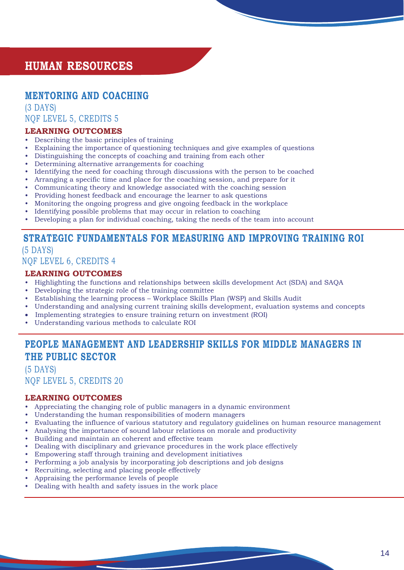## **HUMAN RESOURCES**

## **MENTORING AND COACHING**

(3 DAYS) NQF LEVEL 5, CREDITS 5

#### **LEARNING OUTCOMES**

- Describing the basic principles of training
- Explaining the importance of questioning techniques and give examples of questions
- Distinguishing the concepts of coaching and training from each other
- Determining alternative arrangements for coaching
- Identifying the need for coaching through discussions with the person to be coached
- Arranging a specific time and place for the coaching session, and prepare for it
- Communicating theory and knowledge associated with the coaching session
- Providing honest feedback and encourage the learner to ask questions
- Monitoring the ongoing progress and give ongoing feedback in the workplace
- Identifying possible problems that may occur in relation to coaching
- Developing a plan for individual coaching, taking the needs of the team into account

## **STRATEGIC FUNDAMENTALS FOR MEASURING AND IMPROVING TRAINING ROI**

#### (5 DAYS) NQF LEVEL 6, CREDITS 4

#### **LEARNING OUTCOMES**

- Highlighting the functions and relationships between skills development Act (SDA) and SAQA
- Developing the strategic role of the training committee
- Establishing the learning process Workplace Skills Plan (WSP) and Skills Audit
- Understanding and analysing current training skills development, evaluation systems and concepts
- Implementing strategies to ensure training return on investment (ROI)
- Understanding various methods to calculate ROI

## **PEOPLE MANAGEMENT AND LEADERSHIP SKILLS FOR MIDDLE MANAGERS IN THE PUBLIC SECTOR**

#### (5 DAYS) NQF LEVEL 5, CREDITS 20

- Appreciating the changing role of public managers in a dynamic environment
- Understanding the human responsibilities of modern managers
- Evaluating the influence of various statutory and regulatory guidelines on human resource management
- Analysing the importance of sound labour relations on morale and productivity
- Building and maintain an coherent and effective team
- Dealing with disciplinary and grievance procedures in the work place effectively
- Empowering staff through training and development initiatives
- Performing a job analysis by incorporating job descriptions and job designs
- Recruiting, selecting and placing people effectively
- Appraising the performance levels of people
- Dealing with health and safety issues in the work place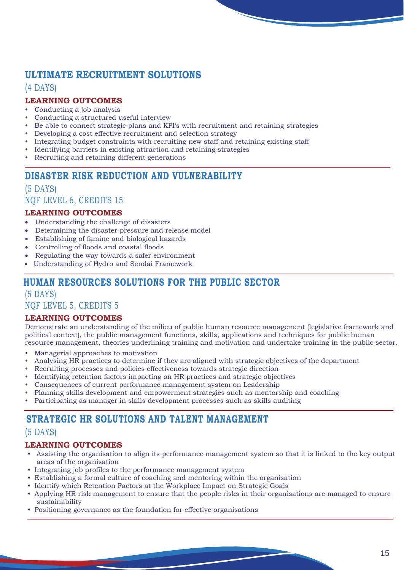## **ULTIMATE RECRUITMENT SOLUTIONS**

## (4 DAYS)

## **LEARNING OUTCOMES**

- Conducting a job analysis
- Conducting a structured useful interview
- Be able to connect strategic plans and KPI's with recruitment and retaining strategies
- Developing a cost effective recruitment and selection strategy
- Integrating budget constraints with recruiting new staff and retaining existing staff
- Identifying barriers in existing attraction and retaining strategies
- Recruiting and retaining different generations

## **DISASTER RISK REDUCTION AND VULNERABILITY**

(5 DAYS) NQF LEVEL 6, CREDITS 15

## **LEARNING OUTCOMES**

- Understanding the challenge of disasters
- Determining the disaster pressure and release model
- Establishing of famine and biological hazards
- Controlling of floods and coastal floods
- Regulating the way towards a safer environment
- Understanding of Hydro and Sendai Framework

## **HUMAN RESOURCES SOLUTIONS FOR THE PUBLIC SECTOR**

(5 DAYS) NQF LEVEL 5, CREDITS 5

#### **LEARNING OUTCOMES**

Demonstrate an understanding of the milieu of public human resource management (legislative framework and political context), the public management functions, skills, applications and techniques for public human resource management, theories underlining training and motivation and undertake training in the public sector.

- Managerial approaches to motivation
- Analysing HR practices to determine if they are aligned with strategic objectives of the department
- Recruiting processes and policies effectiveness towards strategic direction
- Identifying retention factors impacting on HR practices and strategic objectives
- Consequences of current performance management system on Leadership
- Planning skills development and empowerment strategies such as mentorship and coaching
- Participating as manager in skills development processes such as skills auditing

## **STRATEGIC HR SOLUTIONS AND TALENT MANAGEMENT**

## (5 DAYS)

- Assisting the organisation to align its performance management system so that it is linked to the key output areas of the organisation
- Integrating job profiles to the performance management system
- Establishing a formal culture of coaching and mentoring within the organisation
- Identify which Retention Factors at the Workplace Impact on Strategic Goals
- Applying HR risk management to ensure that the people risks in their organisations are managed to ensure sustainability
- Positioning governance as the foundation for effective organisations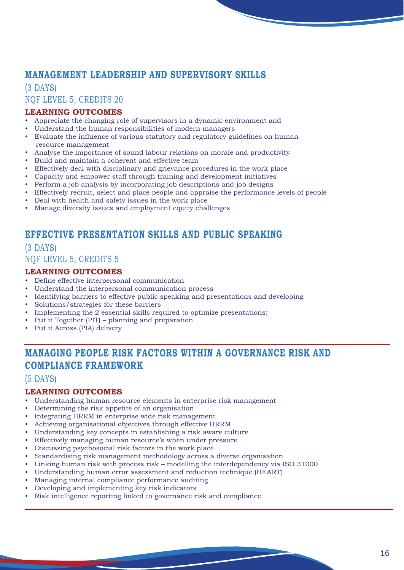## **MANAGEMENT LEADERSHIP AND SUPERVISORY SKILLS**

(3 DAYS) NQF LEVEL 5, CREDITS 20

#### **LEARNING OUTCOMES**

- Appreciate the changing role of supervisors in a dynamic environment and
- Understand the human responsibilities of modern managers
- Evaluate the influence of various statutory and regulatory guidelines on human resource management
- Analyse the importance of sound labour relations on morale and productivity
- Build and maintain a coherent and effective team
- Effectively deal with disciplinary and grievance procedures in the work place
- Capacity and empower staff through training and development initiatives
- Perform a job analysis by incorporating job descriptions and job designs
- Effectively recruit, select and place people and appraise the performance levels of people
- Deal with health and safety issues in the work place
- Manage diversity issues and employment equity challenges

## **EFFECTIVE PRESENTATION SKILLS AND PUBLIC SPEAKING**

## (3 DAYS)

NQF LEVEL 5, CREDITS 5

#### **LEARNING OUTCOMES**

- Define effective interpersonal communication
- Understand the interpersonal communication process
- Identifying barriers to effective public speaking and presentations and developing
- Solutions/strategies for these barriers
- Implementing the 2 essential skills required to optimize presentations:
- Put it Together (PIT) planning and preparation
- Put it Across (PIA) delivery

## **MANAGING PEOPLE RISK FACTORS WITHIN A GOVERNANCE RISK AND COMPLIANCE FRAMEWORK**

#### (5 DAYS)

- Understanding human resource elements in enterprise risk management
- Determining the risk appetite of an organisation
- Integrating HRRM in enterprise wide risk management
- Achieving organisational objectives through effective HRRM
- Understanding key concepts in establishing a risk aware culture
- Effectively managing human resource's when under pressure
- Discussing psychosocial risk factors in the work place
- Standardising risk management methodology across a diverse organisation
- Linking human risk with process risk modelling the interdependency via ISO 31000
- Understanding human error assessment and reduction technique (HEART)
- Managing internal compliance performance auditing
- Developing and implementing key risk indicators
- Risk intelligence reporting linked to governance risk and compliance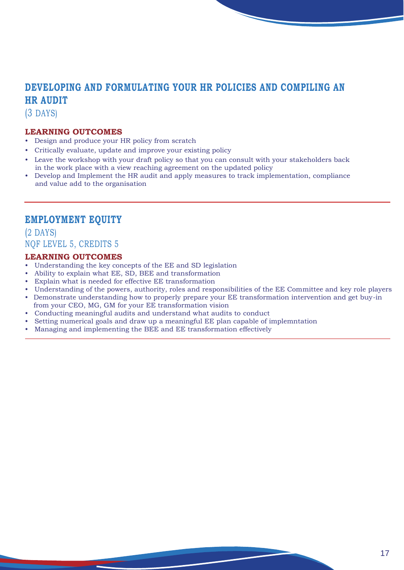## **DEVELOPING AND FORMULATING YOUR HR POLICIES AND COMPILING AN HR AUDIT**

(3 DAYS)

#### **LEARNING OUTCOMES**

- Design and produce your HR policy from scratch
- Critically evaluate, update and improve your existing policy
- Leave the workshop with your draft policy so that you can consult with your stakeholders back in the work place with a view reaching agreement on the updated policy
- Develop and Implement the HR audit and apply measures to track implementation, compliance and value add to the organisation

## **EMPLOYMENT EQUITY**

(2 DAYS) NQF LEVEL 5, CREDITS 5

- Understanding the key concepts of the EE and SD legislation
- Ability to explain what EE, SD, BEE and transformation
- Explain what is needed for effective EE transformation
- Understanding of the powers, authority, roles and responsibilities of the EE Committee and key role players
- Demonstrate understanding how to properly prepare your EE transformation intervention and get buy-in from your CEO, MG, GM for your EE transformation vision
- Conducting meaningful audits and understand what audits to conduct
- Setting numerical goals and draw up a meaningful EE plan capable of implemntation
- Managing and implementing the BEE and EE transformation effectively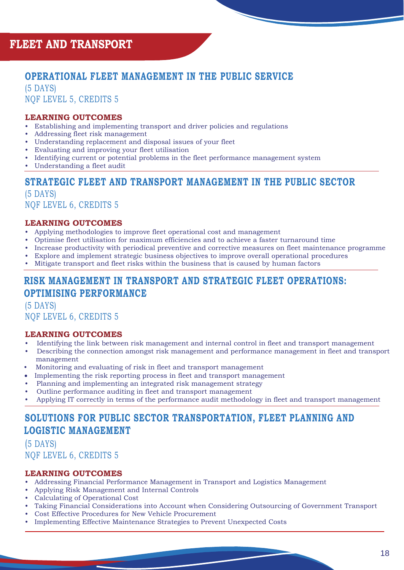## **OPERATIONAL FLEET MANAGEMENT IN THE PUBLIC SERVICE**

(5 DAYS) NQF LEVEL 5, CREDITS 5

#### **LEARNING OUTCOMES**

- Establishing and implementing transport and driver policies and regulations
- Addressing fleet risk management
- Understanding replacement and disposal issues of your fleet
- Evaluating and improving your fleet utilisation
- Identifying current or potential problems in the fleet performance management system
- Understanding a fleet audit

## **STRATEGIC FLEET AND TRANSPORT MANAGEMENT IN THE PUBLIC SECTOR**

(5 DAYS) NQF LEVEL 6, CREDITS 5

#### **LEARNING OUTCOMES**

- Applying methodologies to improve fleet operational cost and management
- Optimise fleet utilisation for maximum efficiencies and to achieve a faster turnaround time
- Increase productivity with periodical preventive and corrective measures on fleet maintenance programme
- Explore and implement strategic business objectives to improve overall operational procedures
- Mitigate transport and fleet risks within the business that is caused by human factors

## **RISK MANAGEMENT IN TRANSPORT AND STRATEGIC FLEET OPERATIONS: OPTIMISING PERFORMANCE**

(5 DAYS) NQF LEVEL 6, CREDITS 5

#### **LEARNING OUTCOMES**

- Identifying the link between risk management and internal control in fleet and transport management
- Describing the connection amongst risk management and performance management in fleet and transport management
- Monitoring and evaluating of risk in fleet and transport management
- Implementing the risk reporting process in fleet and transport management
- Planning and implementing an integrated risk management strategy
- Outline performance auditing in fleet and transport management
- Applying IT correctly in terms of the performance audit methodology in fleet and transport management

## **SOLUTIONS FOR PUBLIC SECTOR TRANSPORTATION, FLEET PLANNING AND LOGISTIC MANAGEMENT**

(5 DAYS) NQF LEVEL 6, CREDITS 5

- Addressing Financial Performance Management in Transport and Logistics Management
- Applying Risk Management and Internal Controls
- Calculating of Operational Cost
- Taking Financial Considerations into Account when Considering Outsourcing of Government Transport
- Cost Effective Procedures for New Vehicle Procurement
- Implementing Effective Maintenance Strategies to Prevent Unexpected Costs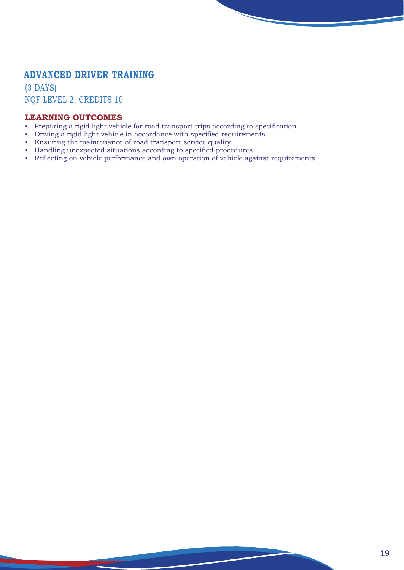## **ADVANCED DRIVER TRAINING**

and the contract of the contract of the contract of the contract of the contract of the contract of the contract of the contract of the contract of the contract of the contract of the contract of the contract of the contra

(3 DAYS) NQF LEVEL 2, CREDITS 10

- Preparing a rigid light vehicle for road transport trips according to specification
- Driving a rigid light vehicle in accordance with specified requirements
- Ensuring the maintenance of road transport service quality
- Handling unexpected situations according to specified procedures
- Reflecting on vehicle performance and own operation of vehicle against requirements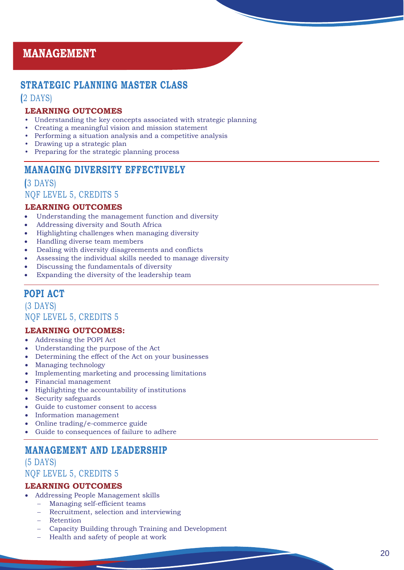## **MANAGEMENT**

## **STRATEGIC PLANNING MASTER CLASS**

#### **(**2 DAYS)

#### **LEARNING OUTCOMES**

- Understanding the key concepts associated with strategic planning
- Creating a meaningful vision and mission statement
- Performing a situation analysis and a competitive analysis
- Drawing up a strategic plan
- Preparing for the strategic planning process

## **MANAGING DIVERSITY EFFECTIVELY**

## **(**3 DAYS)

## NQF LEVEL 5, CREDITS 5

#### **LEARNING OUTCOMES**

- Understanding the management function and diversity
- Addressing diversity and South Africa
- Highlighting challenges when managing diversity
- Handling diverse team members
- Dealing with diversity disagreements and conflicts
- Assessing the individual skills needed to manage diversity
- Discussing the fundamentals of diversity
- Expanding the diversity of the leadership team

## **POPI ACT**

(3 DAYS) NQF LEVEL 5, CREDITS 5

#### **LEARNING OUTCOMES :**

- Addressing the POPI Act
- Understanding the purpose of the Act
- Determining the effect of the Act on your businesses
- Managing technology
- Implementing marketing and processing limitations
- Financial management
- Highlighting the accountability of institutions
- Security safeguards
- Guide to customer consent to access
- Information management
- Online trading/e-commerce guide
- Guide to consequences of failure to adhere

## **MANAGEMENT AND LEADERSHIP**

(5 DAYS) NQF LEVEL 5, CREDITS 5

- Addressing People Management skills
	- Managing self-efficient teams
	- Recruitment, selection and interviewing
	- − Retention
	- − Capacity Building through Training and Development
	- − Health and safety of people at work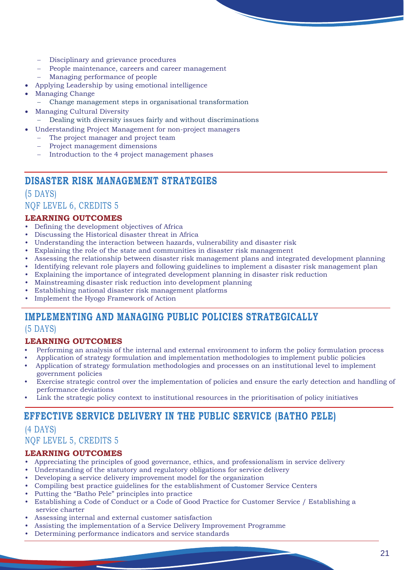- Disciplinary and grievance procedures
- People maintenance, careers and career management
- Managing performance of people
- Applying Leadership by using emotional intelligence
- Managing Change
	- − Change management steps in organisational transformation
- Managing Cultural Diversity
	- − Dealing with diversity issues fairly and without discriminations
	- Understanding Project Management for non-project managers
- The project manager and project team
	- Project management dimensions
	- Introduction to the 4 project management phases

## **DISASTER RISK MANAGEMENT STRATEGIES**

## (5 DAYS) NQF LEVEL 6, CREDITS 5

## **LEARNING OUTCOMES**

- Defining the development objectives of Africa
- Discussing the Historical disaster threat in Africa
- Understanding the interaction between hazards, vulnerability and disaster risk
- Explaining the role of the state and communities in disaster risk management
- Assessing the relationship between disaster risk management plans and integrated development planning
- Identifying relevant role players and following guidelines to implement a disaster risk management plan
- Explaining the importance of integrated development planning in disaster risk reduction
- Mainstreaming disaster risk reduction into development planning
- Establishing national disaster risk management platforms
- Implement the Hyogo Framework of Action

## **IMPLEMENTING AND MANAGING PUBLIC POLICIES STRATEGICALLY**

## (5 DAYS)

## **LEARNING OUTCOMES**

- Performing an analysis of the internal and external environment to inform the policy formulation process
- Application of strategy formulation and implementation methodologies to implement public policies
- Application of strategy formulation methodologies and processes on an institutional level to implement government policies
- Exercise strategic control over the implementation of policies and ensure the early detection and handling of performance deviations
- Link the strategic policy context to institutional resources in the prioritisation of policy initiatives

## **EFFECTIVE SERVICE DELIVERY IN THE PUBLIC SERVICE (BATHO PELE)**

## (4 DAYS) NQF LEVEL 5, CREDITS 5

- Appreciating the principles of good governance, ethics, and professionalism in service delivery
- Understanding of the statutory and regulatory obligations for service delivery
- Developing a service delivery improvement model for the organization
- Compiling best practice guidelines for the establishment of Customer Service Centers
- Putting the "Batho Pele" principles into practice
- Establishing a Code of Conduct or a Code of Good Practice for Customer Service / Establishing a service charter
- Assessing internal and external customer satisfaction
- Assisting the implementation of a Service Delivery Improvement Programme
- Determining performance indicators and service standards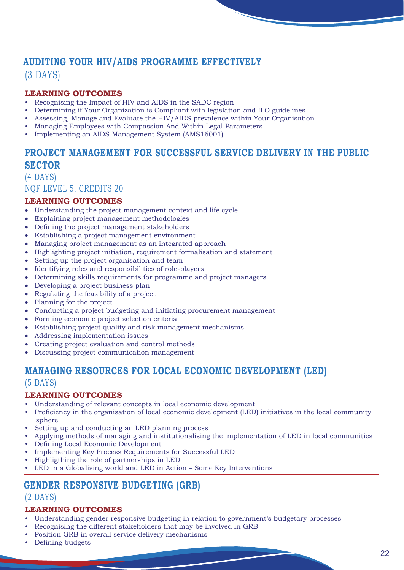## **AUDITING YOUR HIV/AIDS PROGRAMME EFFECTIVELY**

(3 DAYS)

## **LEARNING OUTCOMES**

- Recognising the Impact of HIV and AIDS in the SADC region
- Determining if Your Organization is Compliant with legislation and ILO guidelines
- Assessing, Manage and Evaluate the HIV/AIDS prevalence within Your Organisation
- Managing Employees with Compassion And Within Legal Parameters
- Implementing an AIDS Management System (AMS16001)

## **PROJECT MANAGEMENT FOR SUCCESSFUL SERVICE DELIVERY IN THE PUBLIC SECTOR**

(4 DAYS) NQF LEVEL 5, CREDITS 20

#### **LEARNING OUTCOMES**

- Understanding the project management context and life cycle
- Explaining project management methodologies
- Defining the project management stakeholders
- Establishing a project management environment
- Managing project management as an integrated approach
- Highlighting project initiation, requirement formalisation and statement
- Setting up the project organisation and team
- Identifying roles and responsibilities of role-players
- Determining skills requirements for programme and project managers
- Developing a project business plan
- Regulating the feasibility of a project
- Planning for the project
- Conducting a project budgeting and initiating procurement management
- Forming economic project selection criteria
- Establishing project quality and risk management mechanisms
- Addressing implementation issues
- Creating project evaluation and control methods
- Discussing project communication management

## **MANAGING RESOURCES FOR LOCAL ECONOMIC DEVELOPMENT (LED)**  (5 DAYS)

#### **LEARNING OUTCOMES**

- Understanding of relevant concepts in local economic development
- Proficiency in the organisation of local economic development (LED) initiatives in the local community sphere
- Setting up and conducting an LED planning process
- Applying methods of managing and institutionalising the implementation of LED in local communities
- Defining Local Economic Development
- Implementing Key Process Requirements for Successful LED
- Highligthing the role of partnerships in LED
- LED in a Globalising world and LED in Action Some Key Interventions

## **GENDER RESPONSIVE BUDGETING (GRB)**

#### (2 DAYS)

- Understanding gender responsive budgeting in relation to government's budgetary processes
- Recognising the different stakeholders that may be involved in GRB
- Position GRB in overall service delivery mechanisms
- Defining budgets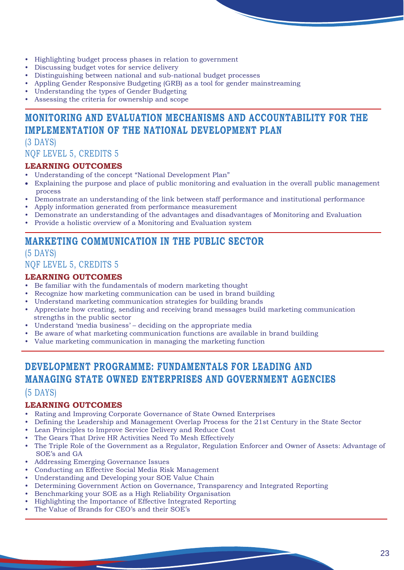- Highlighting budget process phases in relation to government
- Discussing budget votes for service delivery
- Distinguishing between national and sub-national budget processes
- Appling Gender Responsive Budgeting (GRB) as a tool for gender mainstreaming
- Understanding the types of Gender Budgeting
- Assessing the criteria for ownership and scope

## **MONITORING AND EVALUATION MECHANISMS AND ACCOUNTABILITY FOR THE IMPLEMENTATION OF THE NATIONAL DEVELOPMENT PLAN**

## (3 DAYS) NQF LEVEL 5, CREDITS 5

#### **LEARNING OUTCOMES**

- Understanding of the concept "National Development Plan"
- Explaining the purpose and place of public monitoring and evaluation in the overall public management process
- Demonstrate an understanding of the link between staff performance and institutional performance
- Apply information generated from performance measurement
- Demonstrate an understanding of the advantages and disadvantages of Monitoring and Evaluation
- Provide a holistic overview of a Monitoring and Evaluation system

## **MARKETING COMMUNICATION IN THE PUBLIC SECTOR**

#### (5 DAYS) NQF LEVEL 5, CREDITS 5

#### **LEARNING OUTCOMES**

- Be familiar with the fundamentals of modern marketing thought
- Recognize how marketing communication can be used in brand building
- Understand marketing communication strategies for building brands
- Appreciate how creating, sending and receiving brand messages build marketing communication strengths in the public sector
- Understand 'media business' deciding on the appropriate media
- Be aware of what marketing communication functions are available in brand building
- Value marketing communication in managing the marketing function

## **DEVELOPMENT PROGRAMME: FUNDAMENTALS FOR LEADING AND MANAGING STATE OWNED ENTERPRISES AND GOVERNMENT AGENCIES**

## (5 DAYS)

- Rating and Improving Corporate Governance of State Owned Enterprises
- Defining the Leadership and Management Overlap Process for the 21st Century in the State Sector
- Lean Principles to Improve Service Delivery and Reduce Cost
- The Gears That Drive HR Activities Need To Mesh Effectively
- The Triple Role of the Government as a Regulator, Regulation Enforcer and Owner of Assets: Advantage of SOE's and GA
- Addressing Emerging Governance Issues
- Conducting an Effective Social Media Risk Management
- Understanding and Developing your SOE Value Chain
- Determining Government Action on Governance, Transparency and Integrated Reporting
- Benchmarking your SOE as a High Reliability Organisation
- Highlighting the Importance of Effective Integrated Reporting
- The Value of Brands for CEO's and their SOE's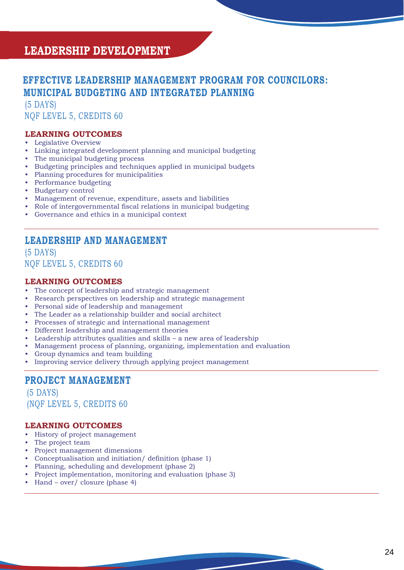## **LEADERSHIP DEVELOPMENT**

## **EFFECTIVE LEADERSHIP MANAGEMENT PROGRAM FOR COUNCILORS: MUNICIPAL BUDGETING AND INTEGRATED PLANNING**

(5 DAYS) NQF LEVEL 5, CREDITS 60

#### **LEARNING OUTCOMES**

- Legislative Overview
- Linking integrated development planning and municipal budgeting
- The municipal budgeting process
- Budgeting principles and techniques applied in municipal budgets
- Planning procedures for municipalities
- Performance budgeting
- Budgetary control
- Management of revenue, expenditure, assets and liabilities
- Role of intergovernmental fiscal relations in municipal budgeting
- Governance and ethics in a municipal context

## **LEADERSHIP AND MANAGEMENT**

#### (5 DAYS) NQF LEVEL 5, CREDITS 60

#### **LEARNING OUTCOMES**

- The concept of leadership and strategic management
- Research perspectives on leadership and strategic management
- Personal side of leadership and management
- The Leader as a relationship builder and social architect
- Processes of strategic and international management
- Different leadership and management theories
- Leadership attributes qualities and skills a new area of leadership
- Management process of planning, organizing, implementation and evaluation
- Group dynamics and team building
- Improving service delivery through applying project management

## **PROJECT MANAGEMENT**

 (5 DAYS) (NQF LEVEL 5, CREDITS 60

- History of project management
- The project team
- Project management dimensions
- Conceptualisation and initiation/ definition (phase 1)
- Planning, scheduling and development (phase 2)
- Project implementation, monitoring and evaluation (phase 3)
- Hand over/ closure (phase 4)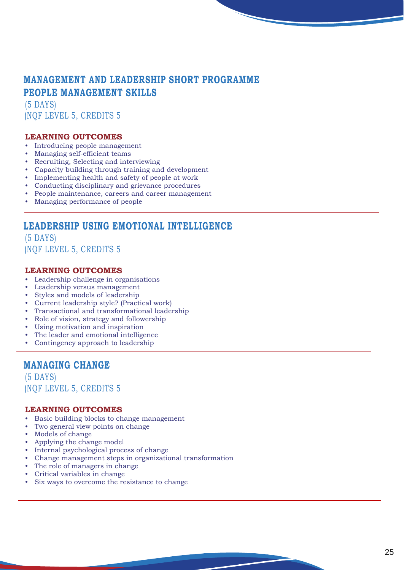## **MANAGEMENT AND LEADERSHIP SHORT PROGRAMME PEOPLE MANAGEMENT SKILLS**

(5 DAYS) (NQF LEVEL 5, CREDITS 5

#### **LEARNING OUTCOMES**

- Introducing people management
- Managing self-efficient teams
- Recruiting, Selecting and interviewing
- Capacity building through training and development
- Implementing health and safety of people at work
- Conducting disciplinary and grievance procedures
- People maintenance, careers and career management
- Managing performance of people

## **LEADERSHIP USING EMOTIONAL INTELLIGENCE**

(5 DAYS) (NQF LEVEL 5, CREDITS 5

#### **LEARNING OUTCOMES**

- Leadership challenge in organisations
- Leadership versus management
- Styles and models of leadership
- Current leadership style? (Practical work)
- Transactional and transformational leadership
- Role of vision, strategy and followership
- Using motivation and inspiration
- The leader and emotional intelligence
- Contingency approach to leadership

## **MANAGING CHANGE**

(5 DAYS) (NQF LEVEL 5, CREDITS 5

- Basic building blocks to change management
- Two general view points on change
- Models of change
- Applying the change model
- Internal psychological process of change
- Change management steps in organizational transformation
- The role of managers in change
- Critical variables in change
- Six ways to overcome the resistance to change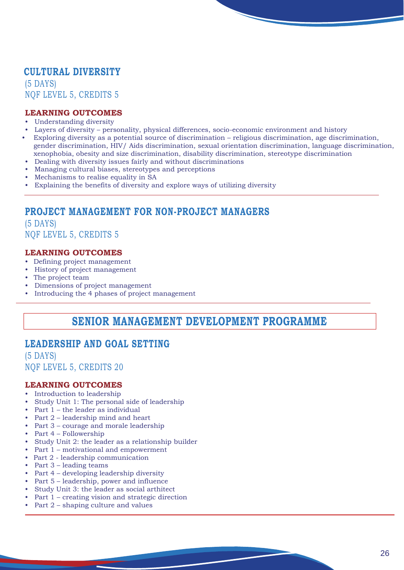## **CULTURAL DIVERSITY**

(5 DAYS) NQF LEVEL 5, CREDITS 5

#### **LEARNING OUTCOMES**

- Understanding diversity
- Layers of diversity personality, physical differences, socio-economic environment and history
- Exploring diversity as a potential source of discrimination religious discrimination, age discrimination, gender discrimination, HIV/ Aids discrimination, sexual orientation discrimination, language discrimination, xenophobia, obesity and size discrimination, disability discrimination, stereotype discrimination
- Dealing with diversity issues fairly and without discriminations
- Managing cultural biases, stereotypes and perceptions
- Mechanisms to realise equality in SA
- Explaining the benefits of diversity and explore ways of utilizing diversity

## **PROJECT MANAGEMENT FOR NON-PROJECT MANAGERS**

(5 DAYS) NQF LEVEL 5, CREDITS 5

#### **LEARNING OUTCOMES**

- Defining project management
- History of project management
- The project team
- Dimensions of project management
- Introducing the 4 phases of project management

## **SENIOR MANAGEMENT DEVELOPMENT PROGRAMME**

## **LEADERSHIP AND GOAL SETTING**

(5 DAYS) NQF LEVEL 5, CREDITS 20

- Introduction to leadership
- Study Unit 1: The personal side of leadership
- Part 1 the leader as individual
- Part 2 leadership mind and heart
- Part 3 courage and morale leadership
- Part 4 Followership
- Study Unit 2: the leader as a relationship builder
- Part 1 motivational and empowerment
- Part 2 leadership communication
- Part 3 leading teams
- Part 4 developing leadership diversity
- Part 5 leadership, power and influence
- Study Unit 3: the leader as social arthitect
- Part 1 creating vision and strategic direction
- Part 2 shaping culture and values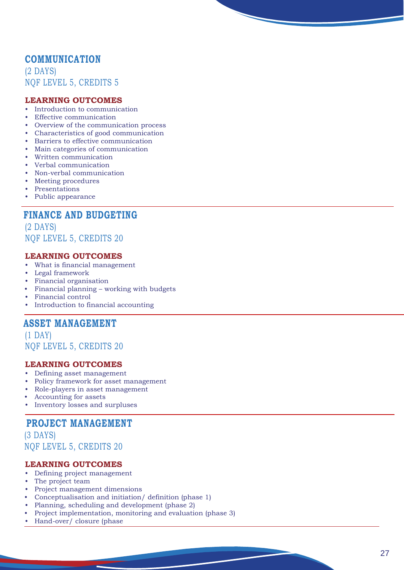## **COMMUNICATION**

(2 DAYS) NQF LEVE L 5, CREDITS 5

#### **LEARNING OUTCOMES**

- Introduction to communication
- **Effective communication**
- Overview of the communication process
- Characteristics of good communication
- Barriers to effective communication
- Main categories of communication
- Written communication
- Verbal communication
- Non-verbal communication
- Meeting procedures
- Presentations
- Public appearance

## **FINANCE AND BUDGETING**

(2 DAYS) NQF LEVE L 5, CREDITS 20

#### **LEARNING OUTCOMES**

- What is financial management
- Legal framework
- Financial organisation
- Financial planning working with budgets
- Financial control
- Introduction to financial accounting

## **ASSET MANAGEMENT**

(1 DAY) NQF LEVE L 5, CREDITS 20

#### **LEARNING OUTCOMES**

- Defining asset management
- Policy framework for asset management
- Role-players in asset management
- Accounting for assets
- Inventory losses and surpluses

## **PROJECT MANAGEMENT**

(3 DAYS) NQF LEVE L 5, CREDITS 20

- Defining project management
- The project team
- Project management dimensions
- Conceptualisation and initiation/ definition (phase 1)
- Planning, scheduling and development (phase 2)
- Project implementation, monitoring and evaluation (phase 3)
- Hand-over/ closure (phase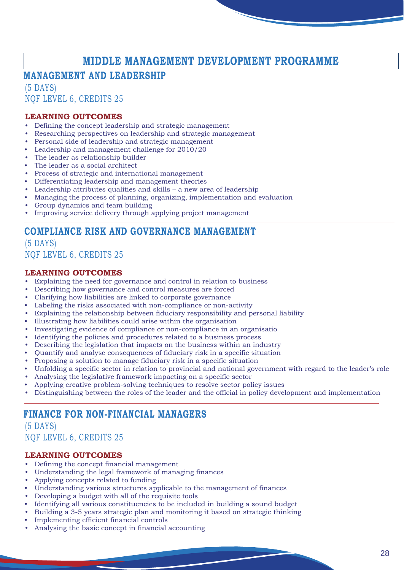## **MIDDLE MANAGEMENT DEVELOPMENT PROGRAMME**

## **MANAGEMENT AND LEADERSHIP**

(5 DAYS) NQF LEVEL 6, CREDITS 25

#### **LEARNING OUTCOMES**

- Defining the concept leadership and strategic management
- Researching perspectives on leadership and strategic management
- Personal side of leadership and strategic management
- Leadership and management challenge for 2010/20
- The leader as relationship builder
- The leader as a social architect
- Process of strategic and international management
- Differentiating leadership and management theories
- Leadership attributes qualities and skills a new area of leadership
- Managing the process of planning, organizing, implementation and evaluation
- Group dynamics and team building
- Improving service delivery through applying project management

## **COMPLIANCE RISK AND GOVERNANCE MANAGEMENT**

(5 DAYS) NQF LEVEL 6, CREDITS 25

#### **LEARNING OUTCOMES**

- Explaining the need for governance and control in relation to business
- Describing how governance and control measures are forced
- Clarifying how liabilities are linked to corporate governance
- Labeling the risks associated with non-compliance or non-activity
- Explaining the relationship between fiduciary responsibility and personal liability
- Illustrating how liabilities could arise within the organisation
- Investigating evidence of compliance or non-compliance in an organisatio
- Identifying the policies and procedures related to a business process
- Describing the legislation that impacts on the business within an industry
- Quantify and analyse consequences of fiduciary risk in a specific situation
- Proposing a solution to manage fiduciary risk in a specific situation
- Unfolding a specific sector in relation to provincial and national government with regard to the leader's role
- Analysing the legislative framework impacting on a specific sector
- Applying creative problem-solving techniques to resolve sector policy issues
- Distinguishing between the roles of the leader and the official in policy development and implementation

## **FINANCE FOR NON-FINANCIAL MANAGERS**

(5 DAYS) NQF LEVEL 6, CREDITS 25

- Defining the concept financial management
- Understanding the legal framework of managing finances
- Applying concepts related to funding
- Understanding various structures applicable to the management of finances
- Developing a budget with all of the requisite tools
- Identifying all various constituencies to be included in building a sound budget
- Building a 3-5 years strategic plan and monitoring it based on strategic thinking
- Implementing efficient financial controls
- Analysing the basic concept in financial accounting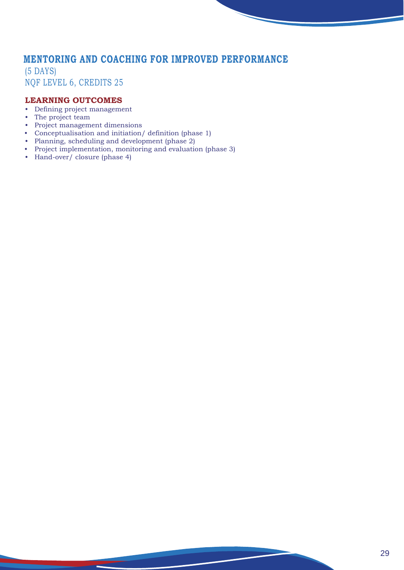## **MENTORING AND COACHING FOR IMPROVED PERFORMANCE**

(5 DAYS) NQF LEVEL 6, CREDITS 25

#### **LEARNING OUTCOMES**

- Defining project management
- The project team
- Project management dimensions

**START OF** 

- Conceptualisation and initiation/ definition (phase 1)
- Planning, scheduling and development (phase 2)
- Project implementation, monitoring and evaluation (phase 3)
- Hand-over/ closure (phase 4)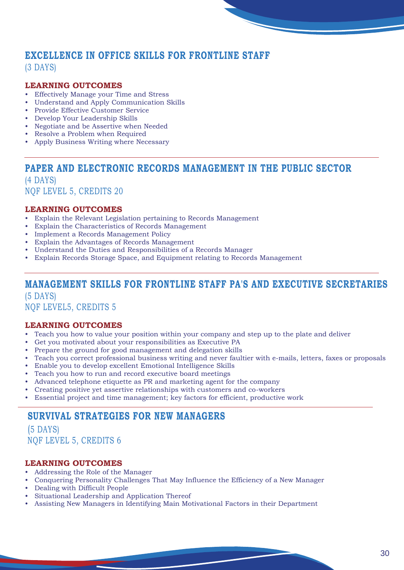## **EXCELLENCE IN OFFICE SKILLS FOR FRONTLINE STAFF**

(3 DAYS)

#### **LEARNING OUTCOMES**

- Effectively Manage your Time and Stress
- Understand and Apply Communication Skills
- Provide Effective Customer Service
- Develop Your Leadership Skills
- Negotiate and be Assertive when Needed
- Resolve a Problem when Required
- Apply Business Writing where Necessary

## **PAPER AND ELECTRONIC RECORDS MANAGEMENT IN THE PUBLIC SECTOR**

(4 DAYS) NQF LEVEL 5, CREDITS 20

#### **LEARNING OUTCOMES**

- Explain the Relevant Legislation pertaining to Records Management
- Explain the Characteristics of Records Management
- Implement a Records Management Policy
- Explain the Advantages of Records Management
- Understand the Duties and Responsibilities of a Records Manager
- Explain Records Storage Space, and Equipment relating to Records Management

## **MANAGEMENT SKILLS FOR FRONTLINE STAFF PA'S AND EXECUTIVE SECRETARIES**  (5 DAYS)

NQF LEVEL5, CREDITS 5

#### **LEARNING OUTCOMES**

- Teach you how to value your position within your company and step up to the plate and deliver
- Get you motivated about your responsibilities as Executive PA
- Prepare the ground for good management and delegation skills
- Teach you correct professional business writing and never faultier with e-mails, letters, faxes or proposals
- Enable you to develop excellent Emotional Intelligence Skills
- Teach you how to run and record executive board meetings
- Advanced telephone etiquette as PR and marketing agent for the company
- Creating positive yet assertive relationships with customers and co-workers
- Essential project and time management; key factors for efficient, productive work

## **SURVIVAL STRATEGIES FOR NEW MANAGERS**

(5 DAYS) NQF LEVEL 5, CREDITS 6

- Addressing the Role of the Manager
- Conquering Personality Challenges That May Influence the Efficiency of a New Manager
- Dealing with Difficult People
- Situational Leadership and Application Thereof
- Assisting New Managers in Identifying Main Motivational Factors in their Department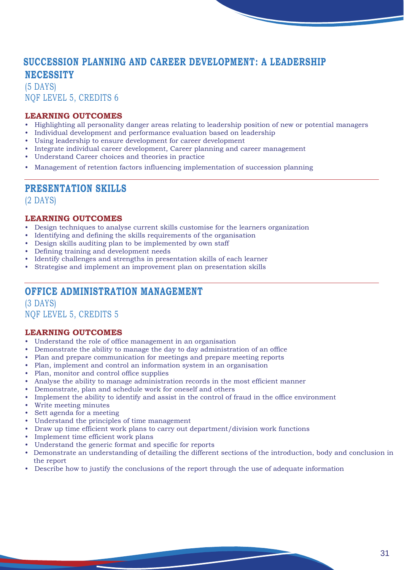## **SUCCESSION PLANNING AND CAREER DEVELOPMENT: A LEADERSHIP NECESSITY**

(5 DAYS) NQF LEVEL 5, CREDITS 6

#### **LEARNING OUTCOMES**

- Highlighting all personality danger areas relating to leadership position of new or potential managers
- Individual development and performance evaluation based on leadership
- Using leadership to ensure development for career development
- Integrate individual career development, Career planning and career management
- Understand Career choices and theories in practice
- Management of retention factors influencing implementation of succession planning

## **PRESENTATION SKILLS**

(2 DAYS)

#### **LEARNING OUTCOMES**

- Design techniques to analyse current skills customise for the learners organization
- Identifying and defining the skills requirements of the organisation
- Design skills auditing plan to be implemented by own staff
- Defining training and development needs
- Identify challenges and strengths in presentation skills of each learner
- Strategise and implement an improvement plan on presentation skills

## **OFFICE ADMINISTRATION MANAGEMENT**

(3 DAYS) NQF LEVEL 5, CREDITS 5

- Understand the role of office management in an organisation
- Demonstrate the ability to manage the day to day administration of an office
- Plan and prepare communication for meetings and prepare meeting reports
- Plan, implement and control an information system in an organisation
- Plan, monitor and control office supplies
- Analyse the ability to manage administration records in the most efficient manner
- Demonstrate, plan and schedule work for oneself and others
- Implement the ability to identify and assist in the control of fraud in the office environment
- Write meeting minutes
- Sett agenda for a meeting
- Understand the principles of time management
- Draw up time efficient work plans to carry out department/division work functions
- Implement time efficient work plans
- Understand the generic format and specific for reports
- Demonstrate an understanding of detailing the different sections of the introduction, body and conclusion in the report
- Describe how to justify the conclusions of the report through the use of adequate information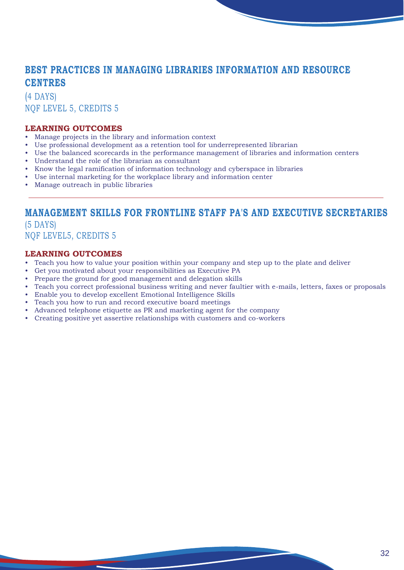## **BEST PRACTICES IN MANAGING LIBRARIES INFORMATION AND RESOURCE CENTRES**

(4 DAYS) NQF LEVEL 5, CREDITS 5

#### **LEARNING OUTCOMES**

- Manage projects in the library and information context
- Use professional development as a retention tool for underrepresented librarian
- Use the balanced scorecards in the performance management of libraries and information centers
- Understand the role of the librarian as consultant
- Know the legal ramification of information technology and cyberspace in libraries
- Use internal marketing for the workplace library and information center
- Manage outreach in public libraries

## **MANAGEMENT SKILLS FOR FRONTLINE STAFF PA'S AND EXECUTIVE SECRETARIES**

(5 DAYS) NQF LEVEL5, CREDITS 5

- Teach you how to value your position within your company and step up to the plate and deliver
- Get you motivated about your responsibilities as Executive PA
- Prepare the ground for good management and delegation skills
- Teach you correct professional business writing and never faultier with e-mails, letters, faxes or proposals
- Enable you to develop excellent Emotional Intelligence Skills
- Teach you how to run and record executive board meetings
- Advanced telephone etiquette as PR and marketing agent for the company
- Creating positive yet assertive relationships with customers and co-workers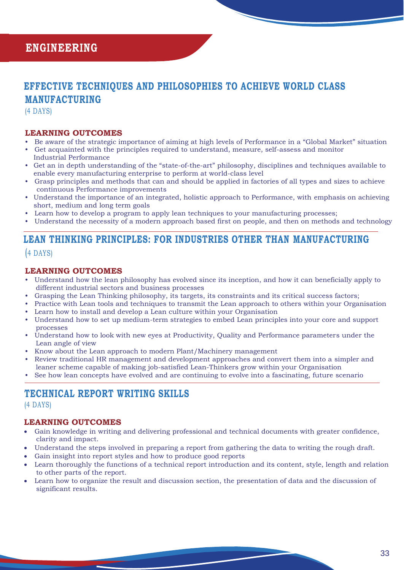## **EFFECTIVE TECHNIQUES AND PHILOSOPHIES TO ACHIEVE WORLD CLASS MANUFACTURING**

(4 DAYS)

#### **LEARNING OUTCOMES**

- Be aware of the strategic importance of aiming at high levels of Performance in a "Global Market" situation
- Get acquainted with the principles required to understand, measure, self-assess and monitor Industrial Performance
- Get an in depth understanding of the "state-of-the-art" philosophy, disciplines and techniques available to enable every manufacturing enterprise to perform at world-class level
- Grasp principles and methods that can and should be applied in factories of all types and sizes to achieve continuous Performance improvements
- Understand the importance of an integrated, holistic approach to Performance, with emphasis on achieving short, medium and long term goals
- Learn how to develop a program to apply lean techniques to your manufacturing processes;
- Understand the necessity of a modern approach based first on people, and then on methods and technology

## **LEAN THINKING PRINCIPLES: FOR INDUSTRIES OTHER THAN MANUFACTURING**  (4 DAYS)

#### **LEARNING OUTCOMES**

- Understand how the lean philosophy has evolved since its inception, and how it can beneficially apply to different industrial sectors and business processes
- Grasping the Lean Thinking philosophy, its targets, its constraints and its critical success factors;
- Practice with Lean tools and techniques to transmit the Lean approach to others within your Organisation • Learn how to install and develop a Lean culture within your Organisation
- Understand how to set up medium-term strategies to embed Lean principles into your core and support processes
- Understand how to look with new eyes at Productivity, Quality and Performance parameters under the Lean angle of view
- Know about the Lean approach to modern Plant/Machinery management
- Review traditional HR management and development approaches and convert them into a simpler and leaner scheme capable of making job-satisfied Lean-Thinkers grow within your Organisation
- See how lean concepts have evolved and are continuing to evolve into a fascinating, future scenario

## **TECHNICAL REPORT WRITING SKILLS**

(4 DAYS)

- Gain knowledge in writing and delivering professional and technical documents with greater confidence, clarity and impact.
- Understand the steps involved in preparing a report from gathering the data to writing the rough draft.
- Gain insight into report styles and how to produce good reports
- Learn thoroughly the functions of a technical report introduction and its content, style, length and relation to other parts of the report.
- Learn how to organize the result and discussion section, the presentation of data and the discussion of significant results.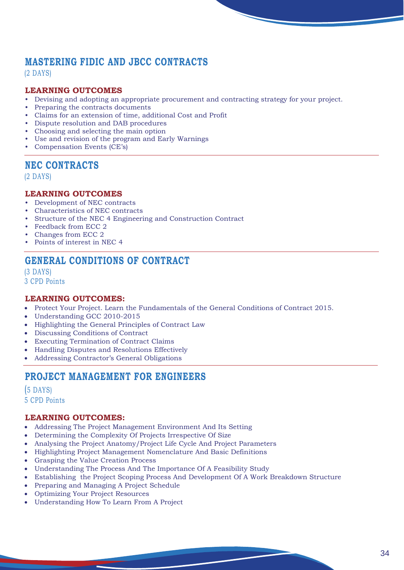## **MASTERING FIDIC AND JBCC CONTRACTS**

(2 DAYS)

#### **LEARNING OUTCOMES**

- Devising and adopting an appropriate procurement and contracting strategy for your project.
- Preparing the contracts documents
- Claims for an extension of time, additional Cost and Profit
- Dispute resolution and DAB procedures
- Choosing and selecting the main option
- Use and revision of the program and Early Warnings
- Compensation Events (CE's)

## **NEC CONTRACTS**

(2 DAYS)

#### **LEARNING OUTCOMES**

- Development of NEC contracts
- Characteristics of NEC contracts
- Structure of the NEC 4 Engineering and Construction Contract
- Feedback from ECC 2
- Changes from ECC 2
- Points of interest in NEC 4

## **GENERAL CONDITIONS OF CONTRACT**

(3 DAYS) 3 CPD Points

#### **LEARNING OUTCOMES:**

- Protect Your Project. Learn the Fundamentals of the General Conditions of Contract 2015.
- Understanding GCC 2010-2015
- Highlighting the General Principles of Contract Law
- Discussing Conditions of Contract
- Executing Termination of Contract Claims
- Handling Disputes and Resolutions Effectively
- Addressing Contractor's General Obligations

## **PROJECT MANAGEMENT FOR ENGINEERS**

(5 DAYS) 5 CPD Points

- Addressing The Project Management Environment And Its Setting
- Determining the Complexity Of Projects Irrespective Of Size
- Analysing the Project Anatomy/Project Life Cycle And Project Parameters
- Highlighting Project Management Nomenclature And Basic Definitions
- Grasping the Value Creation Process
- Understanding The Process And The Importance Of A Feasibility Study
- Establishing the Project Scoping Process And Development Of A Work Breakdown Structure
- Preparing and Managing A Project Schedule
- Optimizing Your Project Resources
- Understanding How To Learn From A Project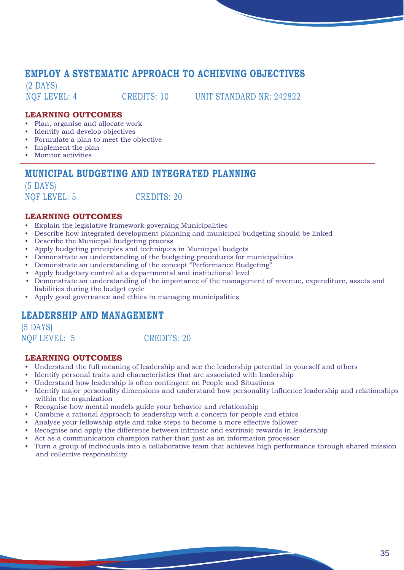## **EMPLOY A SYSTEMATIC APPROACH TO ACHIEVING OBJECTIVES**

(2 DAYS)

NQF LEVEL: 4 CREDITS: 10 UNIT STANDARD NR: 242822

#### **LEARNING OUTCOMES**

- Plan, organise and allocate work
- Identify and develop objectives
- Formulate a plan to meet the objective
- Implement the plan
- Monitor activities

## **MUNICIPAL BUDGETING AND INTEGRATED PLANNING**

(5 DAYS)

NOF LEVEL: 5 CREDITS: 20

#### **LEARNING OUTCOMES**

- Explain the legislative framework governing Municipalities
- Describe how integrated development planning and municipal budgeting should be linked
- Describe the Municipal budgeting process
- Apply budgeting principles and techniques in Municipal budgets
- Demonstrate an understanding of the budgeting procedures for municipalities
- Demonstrate an understanding of the concept "Performance Budgeting"
- Apply budgetary control at a departmental and institutional level
- Demonstrate an understanding of the importance of the management of revenue, expenditure, assets and liabilities during the budget cycle
- Apply good governance and ethics in managing municipalities

## **LEADERSHIP AND MANAGEMENT**

(5 DAYS)

NOF LEVEL: 5 CREDITS: 20

- Understand the full meaning of leadership and see the leadership potential in yourself and others
- Identify personal traits and characteristics that are associated with leadership
- Understand how leadership is often contingent on People and Situations
- Identify major personality dimensions and understand how personality influence leadership and relationships within the organization
- Recognise how mental models guide your behavior and relationship
- Combine a rational approach to leadership with a concern for people and ethics
- Analyse your fellowship style and take steps to become a more effective follower
- Recognise and apply the difference between intrinsic and extrinsic rewards in leadership
- Act as a communication champion rather than just as an information processor
- Turn a group of individuals into a collaborative team that achieves high performance through shared mission and collective responsibility